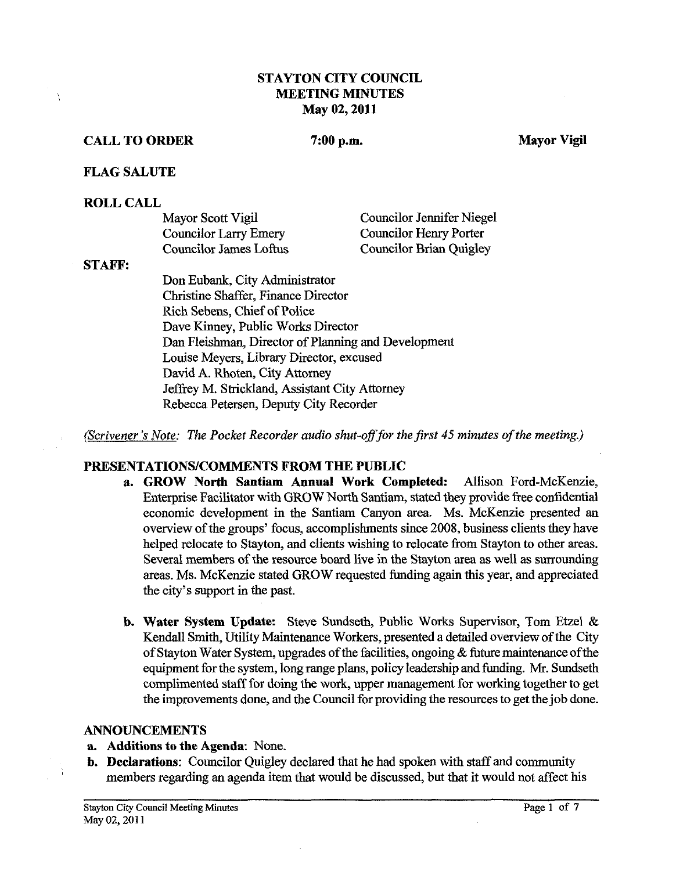## **STAYTON CITY COUNCIL lMEETING MINUTES May 02,2011**

#### **CALL TO ORDER** 7:00 p.m. Mayor Vigil

#### **FLAG SALUTE**

#### **ROLL CALL**

| Mayor Scott Vigil            | <b>Councilor Jennifer Niegel</b> |
|------------------------------|----------------------------------|
| <b>Councilor Larry Emery</b> | <b>Councilor Henry Porter</b>    |
| Councilor James Loftus       | <b>Councilor Brian Quigley</b>   |

#### **STAFF:**

Don Eubank, City Administrator Christine Shaffer, Finance Director Rich Sebens, Chief of Police Dave Kinney, Public Works Director Dan Fleishman, Director of Planning and Development Louise Meyers, Library Director, excused David **A.** Rhoten, City Attomey Jeffrey M. Strickland, Assistant City Attomey Rebecca Petersen, Deputy City Recorder

(Scrivener's Note: The Pocket Recorder audio shut-off for the first 45 minutes of the meeting.)

## **PRESENTATIONS/COMMENTS FROM THE PUBLIC**

- **a. GROW North Santiam Annual Work Completed:** Allison Ford-McKenzie, Enterprise Facilitator with GROW North Santiam, stated they provide free confidential economic development in the Santiam Canyon area. Ms. McKenzie presented **an**  overview of the groups' focus, accomplishments since 2008, business clients they have helped relocate to Stayton, and clients wishing to relocate fiom Stayton to other areas. Several members of the resource board live in the Stayton area as well as surrounding areas. Ms. McKenzie stated GROW requested funding again this year, and appreciated the city's support in the past.
- b. **Water System Update:** Steve Sundseth, Public Works Supervisor, Tom Etzel & Kendall Smith, Utility Maintenance Workers, presented a detailed overview of the City of Stayton Water System, upgrades of the facilities, ongoing & future maintenance of the equipment for the system, long range plans, policy leadership and funding. Mr. Sundseth complimented staff for doing the work, upper management for working together to get the improvements done, and the Council for providing the resources to get the job done.

#### **ANNOUNCEMENTS**

- **a. Additions to the Agenda:** None.
- **b. Declarations:** Councilor Quigley declared that he had spoken with staff and community members regarding an agenda item that would be discussed, but that it would not affect his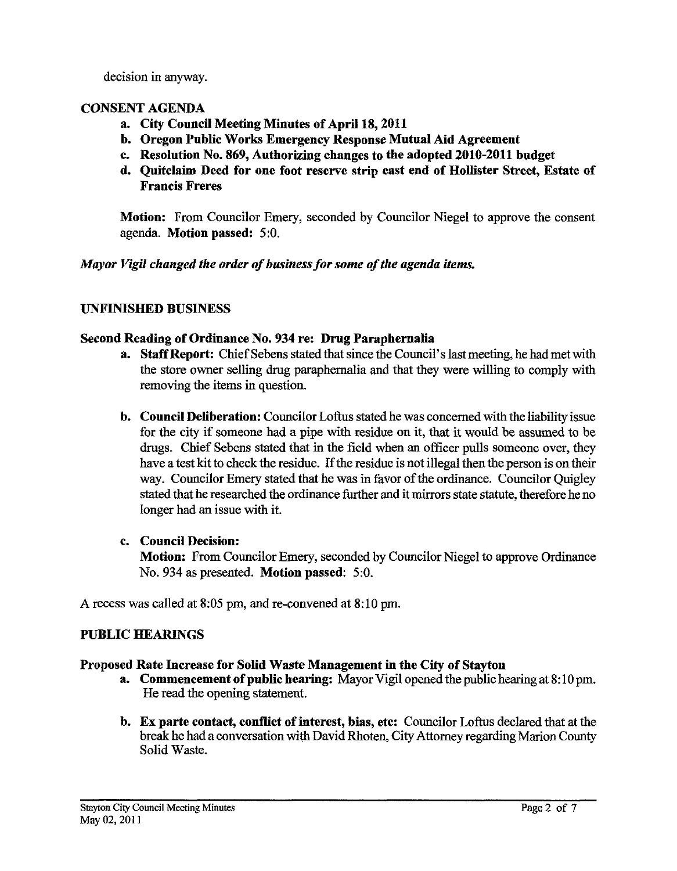decision in anyway.

# CONSENT AGENDA

- a. City Council Meeting Minutes of April **18,2011**
- b. Oregon Public Works Emergency Response Mutual Aid Agreement
- c. Resolution No. 869, Authorizing changes to the adopted **2010-2011** budget
- d. Quitclaim Deed for one foot reserve strip east end of Hollister Street, Estate of Francis Freres

Motion: From Councilor Emery, seconded by Councilor Niegel to approve the consent agenda. Motion passed: 5:O.

# *Mayor Vigil changed the order of business for some of the agenda items.*

# UNFINISHED BUSINESS

# Second Reading of Ordinance No. 934 re: Drug Paraphernalia

- a. Staff Report: Chief Sebens stated that since the Council's last meeting, he had met with the store owner selling drug paraphernalia and that they were willing to comply with removing the items in question.
- b. Council Deliberation: Councilor Loftus stated he was concerned with the liability issue for the city if someone had a pipe with residue on it, that it would be assumed to be drugs. Chief Sebens stated that in the field when an officer pulls someone over, they have a test kit to check the residue. If the residue is not illegal then the person is on their way. Councilor Emery stated that he was in favor of the ordinance. Councilor Ouigley stated that he researched the ordinance further and it mirrors state statute, therefore he no longer had an issue with it.

# c. Council Decision:

Motion: From Councilor Emery, seconded by Councilor Niegel to approve Ordinance No. 934 as presented. Motion passed: 5:O.

A recess was called at 8:05 pm, and re-convened at 8:10 pm.

# PUBLIC HEARINGS

# Proposed Rate Increase for Solid Waste Management in the City of Stayton

- a. Commencement of public hearing: Mayor Vigil opened the public hearing at 8: 10 pm. He read the opening statement.
- b. Ex parte contact, conflict of interest, bias, etc: Councilor Loftus declared that at the break he had a conversation with David Rhoten, City Attorney regarding Marion County Solid Waste.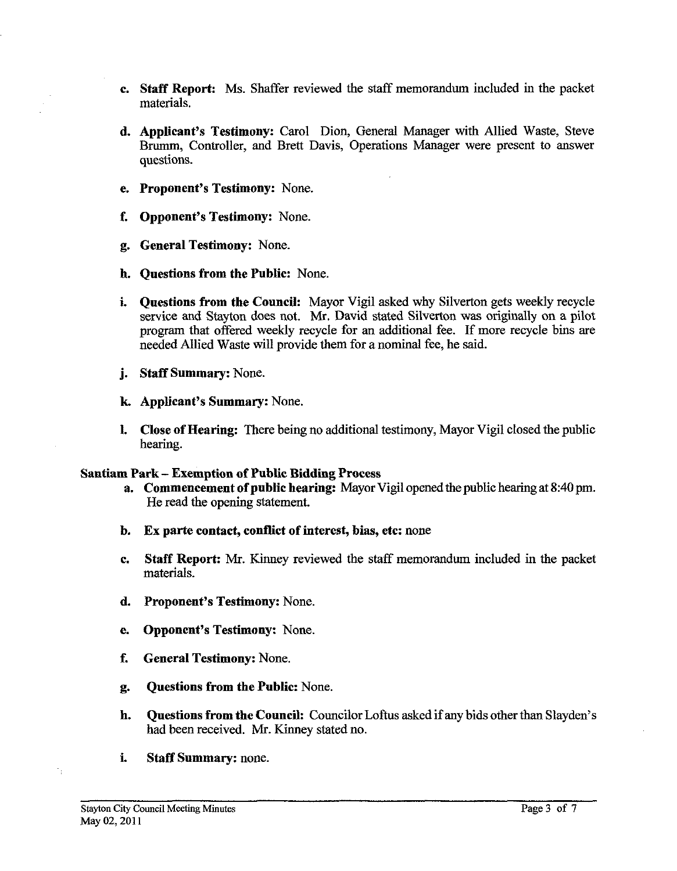- c. Staff Report: Ms. Shaffer reviewed the staff memorandum included in the packet materials.
- d. Applicant's Testimony: Carol Dion, General Manager with Allied Waste, Steve Brurnrn, Controller, and Brett Davis, Operations Manager were present to answer questions.
- e. Proponent's Testimony: None.
- f. Opponent's Testimony: None.
- g. General Testimony: None.
- h. Questions from the Public: None.
- i. Questions from the Council: Mayor Vigil asked why Silverton gets weekly recycle service and Stayton does not. **Mr.** David stated Silverton was originally on a pilot program that offered weekly recycle for an additional fee. If more recycle bins are needed Allied Waste will provide them for a nominal fee, he said.
- j. Staff Summary: None.
- **k** Applicant's Summary: None.
- 1. Close of Hearing: There being no additional testimony, Mayor Vigil closed the public hearing.

## Santiam Park - Exemption of Public Bidding Process

- a. Commencement of public hearing: Mayor Vigil opened the public hearing at 8:40 pm. He read the opening statement.
- b. Ex parte contact, conflict of interest, bias, etc: none
- c. Staff Report: Mr. Kinney reviewed the staff memorandum included in the packet materials.
- d. Proponent's Testimony: None.
- e. Opponent's Testimony: None.
- f. General Testimony: None.
- g. Questions from the Public: None.
- **h.** Questions from the Council: Councilor Loftus asked if any bids other **than** Slayden's had been received. Mr. Kinney stated no.
- i. Staff Summary: none.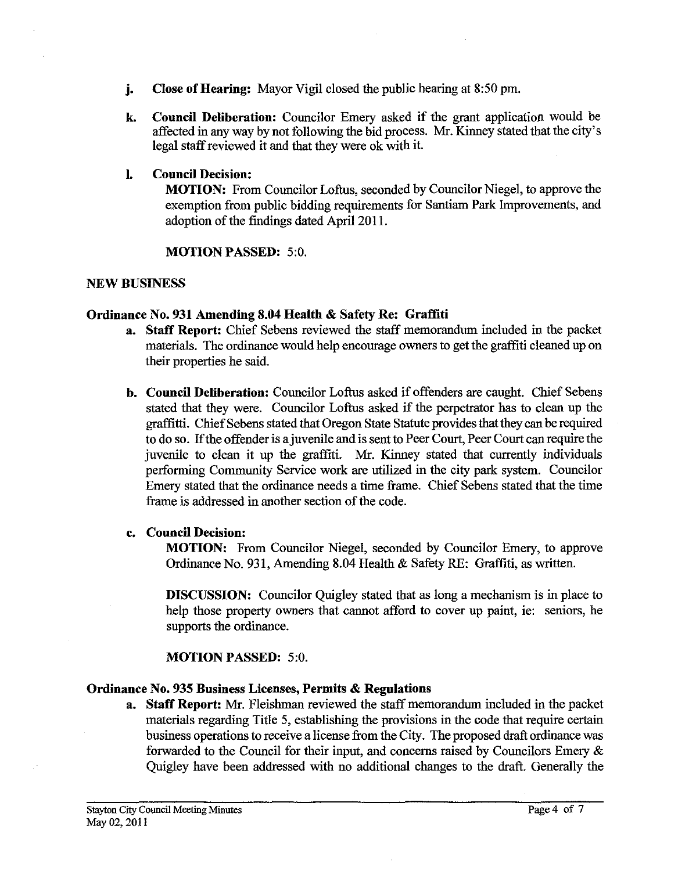- **j. Close of Hearing:** Mayor Vigil closed the public hearing at 8:50 pm.
- **k. Council Deliberation:** Councilor Emery asked if the grant application would be affected in any way by not following the bid process. Mr. Kinney stated that the city's legal staffreviewed it and that they were ok with it.

## **1. Council Decision:**

**MOTION:** From Councilor Loftus, seconded by Councilor Niegel, to approve the exemption from public bidding requirements for Santiam Park Improvements, and adoption of the findings dated April 2011.

## **MOTION PASSED:** 5:O.

## **NEW BUSINESS**

## **Ordinance No. 931 Amending 8.04 Health** & **Safety Re: Graffiti**

- **a. Staff Report:** Chief Sebens reviewed the staff memorandum included in the packet materials. The ordinance would help encourage owners to get the graffiti cleaned up on their properties he said.
- **b. Council Deliberation:** Councilor Loftus asked if offenders are caught. Chief Sebens stated that they were. Councilor Loftus asked if the perpetrator has to clean up the graffitti. Chief Sebens stated that Oregon State Statute provides that they can be required to do so. If the offender is ajuvenile and is sent to Peer Court, Peer Court can require the juvenile to clean it up the graffiti. Mr. Kinney stated that currently individuals performing Community Service work are utilized in the city park system. Councilor Emery stated that the ordinance needs a time frame. Chief Sebens stated that the time frame is addressed in another section of the code.

## **c. Council Decision:**

**MOTION:** From Councilor Niegel, seconded by Councilor Emery, to approve Ordinance No. 931, Amending 8.04 Health  $\&$  Safety RE: Graffiti, as written.

**DISCUSSION:** Councilor Quigley stated that as long a mechanism is in place to help those property owners that cannot afford to cover up paint, ie: seniors, he supports the ordinance.

# **MOTION PASSED:** 5:O.

# **Ordinance No. 935 Business Licenses, Permits** & **Regulations**

**a. Staff Report: Mr.** Fleishman reviewed the staff memorandum included in the packet materials regarding Title 5, establishing the provisions in the code that require certain business operations to receive a license from the City. The proposed draft ordinance was forwarded to the Council for their input, and concerns raised by Councilors Emery & Quigley have been addressed with no additional changes to the draft. Generally the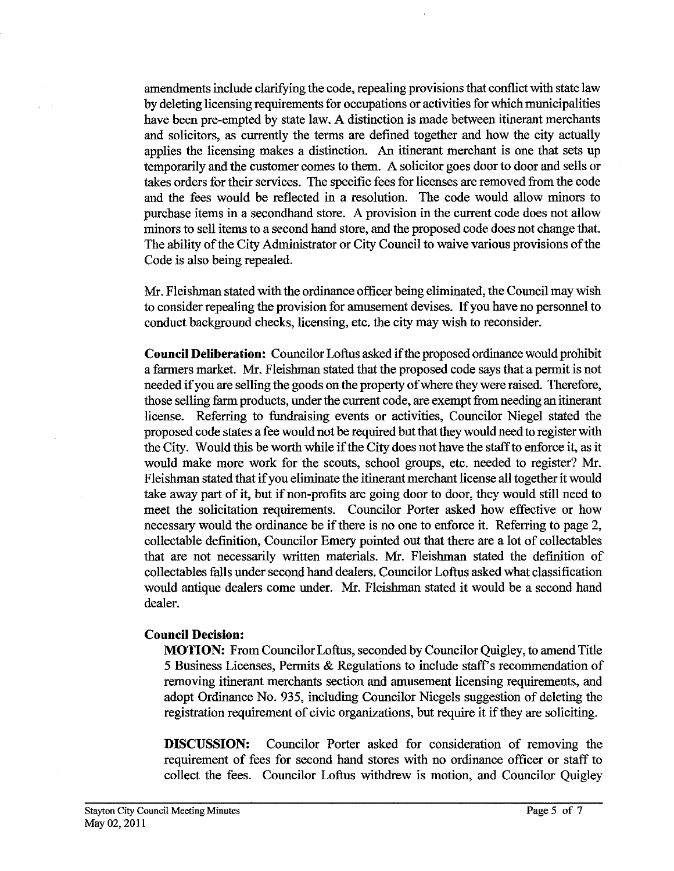amendments include clarifying the code, repealing provisions that conflict with state law by deleting licensing requirements for occupations or activities for which municipalities have been pre-empted by state law. A distinction is made between itinerant merchants and solicitors, as currently the terms are defined together and how the city actually applies the licensing makes a distinction. An itinerant merchant is one that sets up temporarily and the customer comes to them. A solicitor goes door to door and sells or takes orders for their services. The specific fees for licenses are removed fiom the code and the fees would be reflected in a resolution. The code would allow minors to purchase items in a secondhand store. A provision in the current code does not allow minors to sell items to a second hand store, and the proposed code does not change that. The ability of the City Administrator or City Council to waive various provisions of the Code is also being repealed.

Mr. Fleishman stated with the ordinance officer being eliminated, the Council may wish to consider repealing the provision for amusement devises. If you have no personnel to conduct background checks, licensing, etc. the city may wish to reconsider.

**Council Deliberation:** Councilor Loftus asked ifthe proposed ordinance would prohibit a farmers market. Mr. Fleishman stated that the proposed code says that apermit is not needed if you are selling the goods on the property of where they were raised. Therefore, those selling farm products, under the current code, are exempt fiom needing an itinerant license. Referring to fundraising events or activities, Councilor Niegel stated the proposed code states a fee would not be required but that they would need to register with the City. Would this be worth while if the City does not have the staffto enforce it, as it would make more work for the scouts, school groups, etc. needed to register? Mr. Fleishman stated that if you eliminate the itinerant merchant license all together it would take away part of it, but if non-profits are going door to door, they would still need to meet the solicitation requirements. Councilor Porter asked how effective or how necessary would the ordinance be if there is no one to enforce it. Referring to page 2, collectable definition, Councilor Emery pointed out that there are a lot of collectables that are not necessarily written materials. Mr. Fleishman stated the definition of collectables falls under second hand dealers. Councilor Loftus asked what classification would antique dealers come under. Mr. Fleishman stated it would be a second hand dealer.

#### **Council Decision:**

**MOTION:** From Councilor Loftus, seconded by Councilor Quigley, to amend Title 5 Business Licenses, Permits & Regulations to include staffs recommendation of removing itinerant merchants section and amusement licensing requirements, and adopt Ordinance No. 935, includmg Councilor Niegels suggestion of deleting the registration requirement of civic organizations, but require it if they are soliciting.

**DISCUSSION:** Councilor Porter asked for consideration of removing the requirement of fees for second hand stores with no ordinance officer or staff to collect the fees. Councilor Loftus withdrew is motion, and Councilor Quigley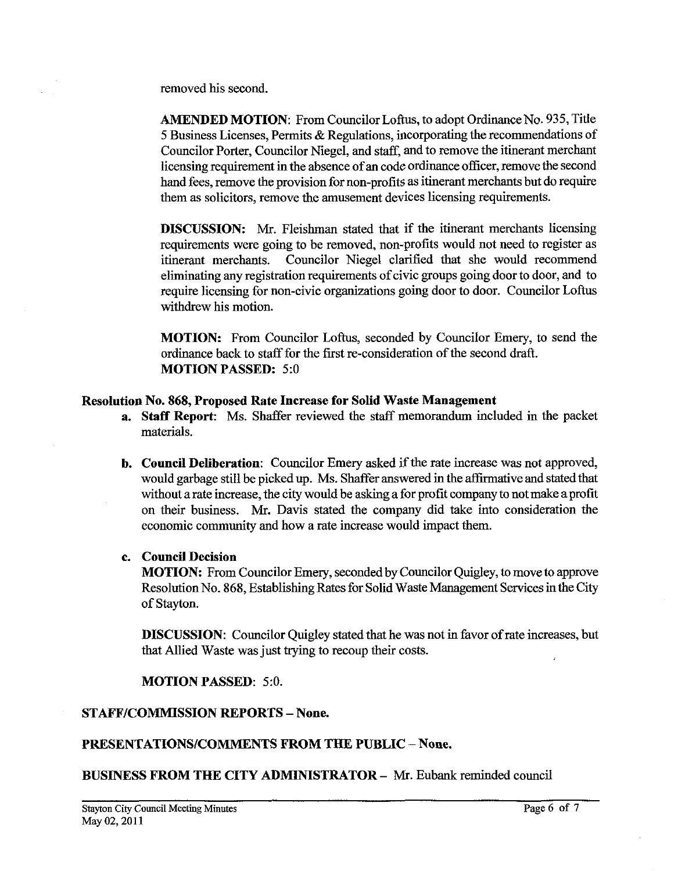removed his second.

**AMENDED MOTION:** From Councilor Loftus, to adopt Ordinance No. **935,** Title **5** Business Licenses, Permits & Regulations, incorporating the recommendations of Councilor Porter, Councilor Niegel, and staff, and to remove the itinerant merchant licensing requirement in the absence of an code ordinance officer, remove the second hand fees, remove the provision for non-profits as itinerant merchants but do require them as solicitors, remove the amusement devices licensing requirements.

**DISCUSSION:** Mr. Fleishman stated that if the itinerant merchants licensing requirements were going to be removed, non-profits would not need to register as itinerant merchants. Councilor Niegel clarified that she would recommend eliminating any registration requirements of civic groups going door to door, and to require licensing for non-civic organizations going door to door. Councilor Loftus withdrew his motion.

**MOTION:** From Councilor Loftus, seconded by Councilor Emery, to send the ordinance back to staff for the first re-consideration of the second draft. **MOTION PASSED: 5:O** 

#### **Resolution No. 868, Proposed Rate Increase for Solid Waste Management**

- **a. Staff Report:** Ms. Shaffer reviewed the staff memorandum included in the packet materials.
- **b. Council Deliberation:** Councilor Emery asked if the rate increase was not approved, would garbage still be picked up. Ms. Shaffer answered in the affirmative and stated that without a rate increase, the city would be asking a for profit company to not make a profit on their business. Mr. Davis stated the company did take into consideration the economic community and how a rate increase would impact them.

## **c. Council Decision**

**MOTION:** From Councilor Emery, seconded by Councilor Quigley, to move to approve Resolution No. 868, Establishing Rates for Solid Waste Management Services in the City of Stayton.

**DISCUSSION:** Councilor Quigley stated that he was not in favor of rate increases, but that Allied Waste was just trying to recoup their costs.

**MOTION PASSED: 5:O.** 

## **STAFFICOMMISSION REPORTS** - **None.**

## **PRESENTATIONS/COMMENTS FROM THE PUBLIC** - **None.**

**BUSINESS FROM THE CITY ADMINISTRATOR - Mr. Eubank reminded council**